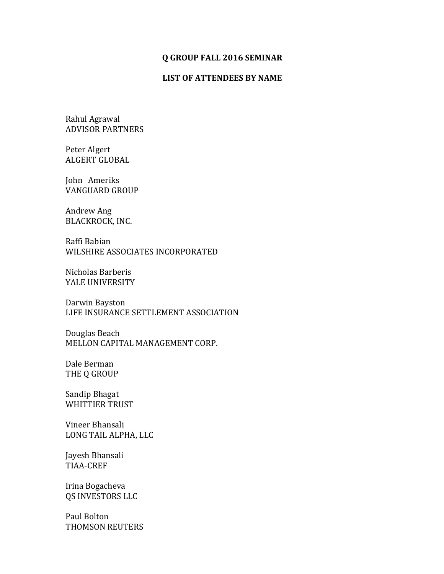## **Q GROUP FALL 2016 SEMINAR**

## **LIST OF ATTENDEES BY NAME**

Rahul Agrawal ADVISOR PARTNERS

Peter Algert **ALGERT GLOBAL** 

John Ameriks VANGUARD GROUP

Andrew Ang BLACKROCK, INC.

Raffi Babian WILSHIRE ASSOCIATES INCORPORATED

Nicholas Barberis YALE UNIVERSITY

Darwin Bayston LIFE INSURANCE SETTLEMENT ASSOCIATION

Douglas Beach MELLON CAPITAL MANAGEMENT CORP.

Dale Berman THE Q GROUP

Sandip Bhagat WHITTIER TRUST

Vineer Bhansali LONG TAIL ALPHA, LLC

Jayesh Bhansali TIAA-CREF

Irina Bogacheva QS INVESTORS LLC

Paul Bolton THOMSON REUTERS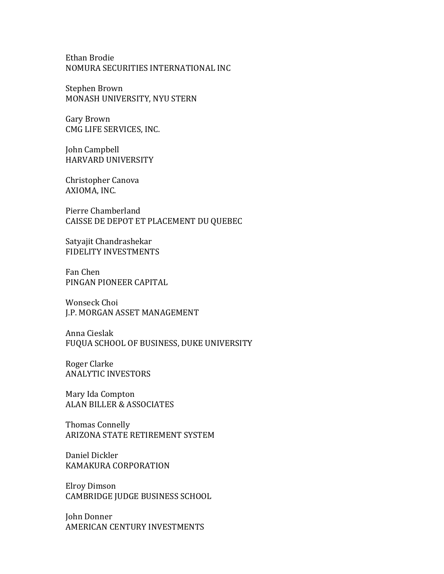Ethan Brodie NOMURA SECURITIES INTERNATIONAL INC

Stephen Brown MONASH UNIVERSITY, NYU STERN

Gary Brown CMG LIFE SERVICES, INC.

John Campbell HARVARD UNIVERSITY

Christopher Canova AXIOMA, INC.

Pierre Chamberland CAISSE DE DEPOT ET PLACEMENT DU QUEBEC

Satyajit Chandrashekar FIDELITY INVESTMENTS

Fan Chen PINGAN PIONEER CAPITAL

Wonseck Choi J.P. MORGAN ASSET MANAGEMENT

Anna Cieslak FUQUA SCHOOL OF BUSINESS, DUKE UNIVERSITY

Roger Clarke **ANALYTIC INVESTORS** 

Mary Ida Compton ALAN BILLER & ASSOCIATES

Thomas Connelly ARIZONA STATE RETIREMENT SYSTEM

Daniel Dickler KAMAKURA CORPORATION

Elroy Dimson CAMBRIDGE JUDGE BUSINESS SCHOOL

John Donner AMERICAN CENTURY INVESTMENTS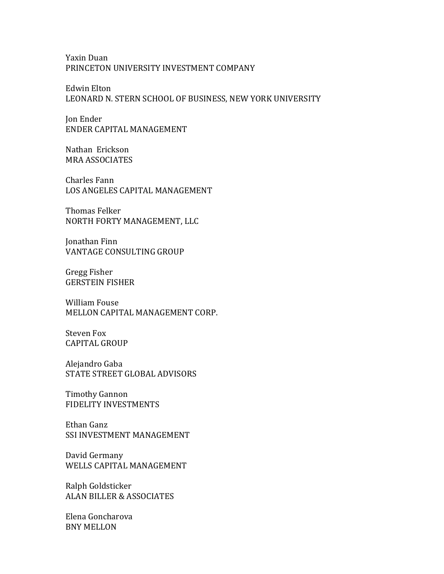Yaxin Duan PRINCETON UNIVERSITY INVESTMENT COMPANY

Edwin Elton LEONARD N. STERN SCHOOL OF BUSINESS, NEW YORK UNIVERSITY

Jon Ender ENDER CAPITAL MANAGEMENT

Nathan Erickson MRA ASSOCIATES

Charles Fann LOS ANGELES CAPITAL MANAGEMENT

Thomas Felker NORTH FORTY MANAGEMENT, LLC

Jonathan Finn VANTAGE CONSULTING GROUP

Gregg Fisher **GERSTEIN FISHER** 

William Fouse MELLON CAPITAL MANAGEMENT CORP.

Steven Fox **CAPITAL GROUP** 

Alejandro Gaba STATE STREET GLOBAL ADVISORS

Timothy Gannon FIDELITY INVESTMENTS

Ethan Ganz SSI INVESTMENT MANAGEMENT

David Germany WELLS CAPITAL MANAGEMENT

Ralph Goldsticker ALAN BILLER & ASSOCIATES

Elena Goncharova **BNY MELLON**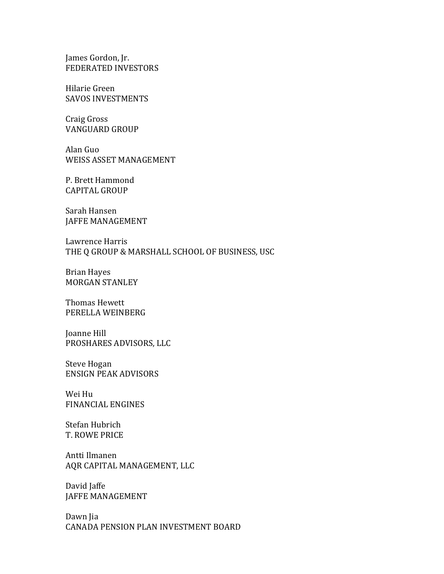James Gordon, Jr. FEDERATED INVESTORS

Hilarie Green SAVOS INVESTMENTS

Craig Gross **VANGUARD GROUP** 

Alan Guo WEISS ASSET MANAGEMENT

P. Brett Hammond CAPITAL GROUP

Sarah Hansen **JAFFE MANAGEMENT** 

Lawrence Harris THE Q GROUP & MARSHALL SCHOOL OF BUSINESS, USC

Brian Hayes MORGAN STANLEY

Thomas Hewett PERELLA WEINBERG

Joanne Hill PROSHARES ADVISORS, LLC

Steve Hogan ENSIGN PEAK ADVISORS

Wei Hu FINANCIAL ENGINES

Stefan Hubrich T. ROWE PRICE

Antti Ilmanen AQR CAPITAL MANAGEMENT, LLC

David Jaffe JAFFE MANAGEMENT

Dawn Jia CANADA PENSION PLAN INVESTMENT BOARD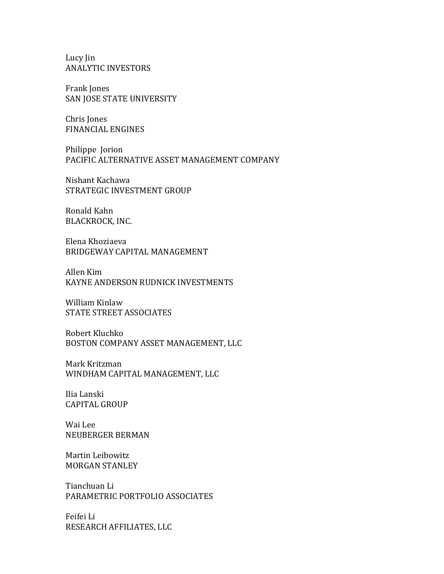Lucy Jin **ANALYTIC INVESTORS** 

Frank Jones SAN JOSE STATE UNIVERSITY

Chris Jones FINANCIAL ENGINES

Philippe Jorion PACIFIC ALTERNATIVE ASSET MANAGEMENT COMPANY

Nishant Kachawa STRATEGIC INVESTMENT GROUP

Ronald Kahn BLACKROCK, INC.

Elena Khoziaeva BRIDGEWAY CAPITAL MANAGEMENT

Allen Kim KAYNE ANDERSON RUDNICK INVESTMENTS

William Kinlaw STATE STREET ASSOCIATES

Robert Kluchko BOSTON COMPANY ASSET MANAGEMENT, LLC

Mark Kritzman WINDHAM CAPITAL MANAGEMENT, LLC

Ilia Lanski **CAPITAL GROUP** 

Wai Lee NEUBERGER BERMAN

Martin Leibowitz **MORGAN STANLEY** 

Tianchuan Li PARAMETRIC PORTFOLIO ASSOCIATES

Feifei Li RESEARCH AFFILIATES, LLC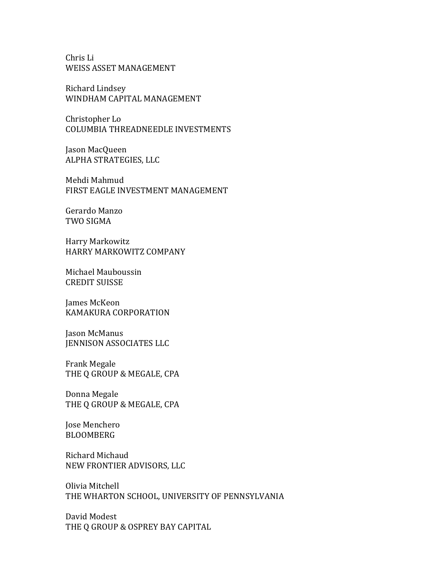Chris Li WEISS ASSET MANAGEMENT

Richard Lindsey WINDHAM CAPITAL MANAGEMENT

Christopher Lo COLUMBIA THREADNEEDLE INVESTMENTS

Jason MacQueen ALPHA STRATEGIES, LLC

Mehdi Mahmud FIRST EAGLE INVESTMENT MANAGEMENT

Gerardo Manzo TWO SIGMA

Harry Markowitz HARRY MARKOWITZ COMPANY

Michael Mauboussin **CREDIT SUISSE** 

James McKeon KAMAKURA CORPORATION

Jason McManus **JENNISON ASSOCIATES LLC** 

Frank Megale THE Q GROUP & MEGALE, CPA

Donna Megale THE Q GROUP & MEGALE, CPA

Jose Menchero BLOOMBERG

Richard Michaud NEW FRONTIER ADVISORS, LLC

Olivia Mitchell THE WHARTON SCHOOL, UNIVERSITY OF PENNSYLVANIA

David Modest THE Q GROUP & OSPREY BAY CAPITAL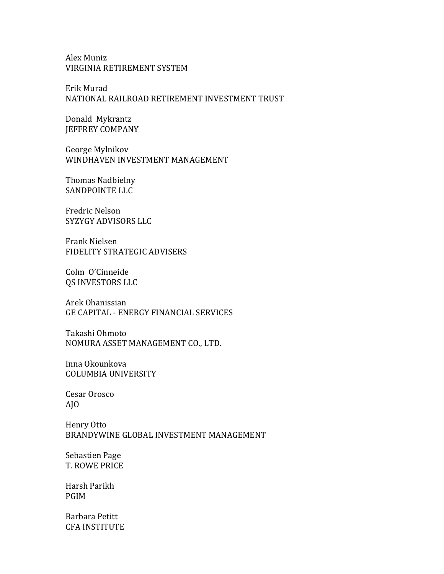## Alex Muniz VIRGINIA RETIREMENT SYSTEM

Erik Murad NATIONAL RAILROAD RETIREMENT INVESTMENT TRUST

Donald Mykrantz JEFFREY COMPANY

George Mylnikov WINDHAVEN INVESTMENT MANAGEMENT

Thomas Nadbielny SANDPOINTE LLC

Fredric Nelson SYZYGY ADVISORS LLC

Frank Nielsen FIDELITY STRATEGIC ADVISERS

Colm O'Cinneide QS INVESTORS LLC

Arek Ohanissian GE CAPITAL - ENERGY FINANCIAL SERVICES

Takashi Ohmoto NOMURA ASSET MANAGEMENT CO., LTD.

Inna Okounkova COLUMBIA UNIVERSITY

Cesar Orosco AJO

Henry Otto BRANDYWINE GLOBAL INVESTMENT MANAGEMENT

Sebastien Page **T. ROWE PRICE** 

Harsh Parikh PGIM

Barbara Petitt CFA INSTITUTE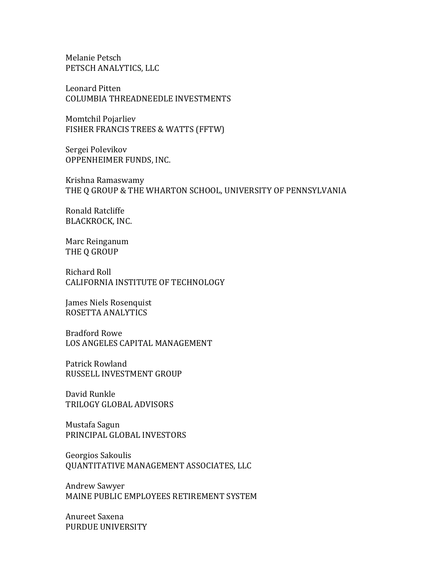Melanie Petsch PETSCH ANALYTICS, LLC

Leonard Pitten COLUMBIA THREADNEEDLE INVESTMENTS

Momtchil Pojarliev FISHER FRANCIS TREES & WATTS (FFTW)

Sergei Polevikov OPPENHEIMER FUNDS, INC.

Krishna Ramaswamy THE Q GROUP & THE WHARTON SCHOOL, UNIVERSITY OF PENNSYLVANIA

Ronald Ratcliffe BLACKROCK, INC.

Marc Reinganum THE Q GROUP

Richard Roll CALIFORNIA INSTITUTE OF TECHNOLOGY

James Niels Rosenquist ROSETTA ANALYTICS

Bradford Rowe LOS ANGELES CAPITAL MANAGEMENT

Patrick Rowland RUSSELL INVESTMENT GROUP

David Runkle TRILOGY GLOBAL ADVISORS

Mustafa Sagun PRINCIPAL GLOBAL INVESTORS

Georgios Sakoulis QUANTITATIVE MANAGEMENT ASSOCIATES, LLC

Andrew Sawyer MAINE PUBLIC EMPLOYEES RETIREMENT SYSTEM

Anureet Saxena PURDUE UNIVERSITY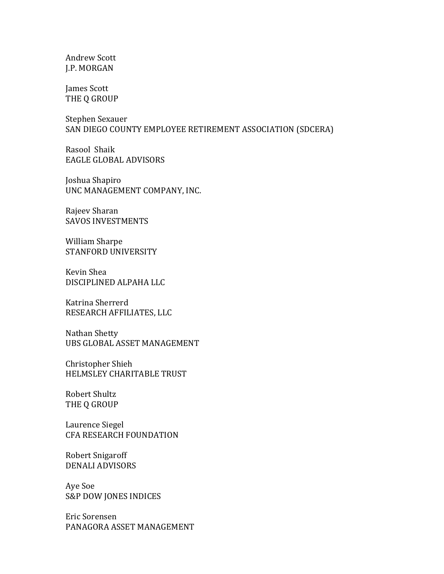Andrew Scott J.P. MORGAN

James Scott THE Q GROUP

Stephen Sexauer SAN DIEGO COUNTY EMPLOYEE RETIREMENT ASSOCIATION (SDCERA)

Rasool Shaik EAGLE GLOBAL ADVISORS

Joshua Shapiro UNC MANAGEMENT COMPANY, INC.

Rajeev Sharan SAVOS INVESTMENTS

William Sharpe STANFORD UNIVERSITY

Kevin Shea DISCIPLINED ALPAHA LLC

Katrina Sherrerd RESEARCH AFFILIATES, LLC

Nathan Shetty UBS GLOBAL ASSET MANAGEMENT

Christopher Shieh HELMSLEY CHARITABLE TRUST

Robert Shultz THE Q GROUP

Laurence Siegel CFA RESEARCH FOUNDATION

Robert Snigaroff DENALI ADVISORS

Aye Soe S&P DOW JONES INDICES

Eric Sorensen PANAGORA ASSET MANAGEMENT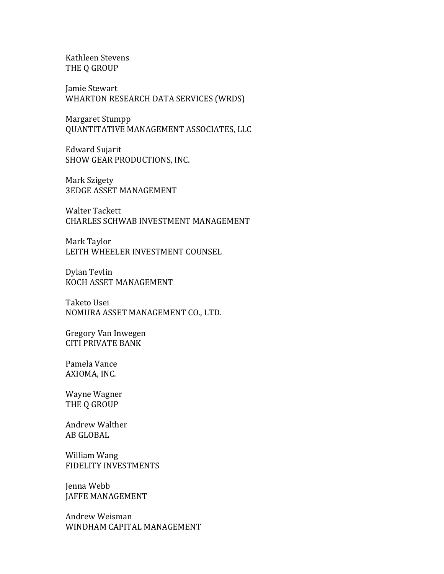Kathleen Stevens THE Q GROUP

Jamie Stewart WHARTON RESEARCH DATA SERVICES (WRDS)

Margaret Stumpp QUANTITATIVE MANAGEMENT ASSOCIATES, LLC

Edward Sujarit SHOW GEAR PRODUCTIONS, INC.

Mark Szigety **3EDGE ASSET MANAGEMENT** 

Walter Tackett CHARLES SCHWAB INVESTMENT MANAGEMENT

Mark Taylor LEITH WHEELER INVESTMENT COUNSEL

Dylan Tevlin KOCH ASSET MANAGEMENT

Taketo Usei NOMURA ASSET MANAGEMENT CO., LTD.

Gregory Van Inwegen **CITI PRIVATE BANK** 

Pamela Vance AXIOMA, INC.

Wayne Wagner THE Q GROUP

Andrew Walther AB GLOBAL

William Wang FIDELITY INVESTMENTS

Jenna Webb JAFFE MANAGEMENT

Andrew Weisman WINDHAM CAPITAL MANAGEMENT